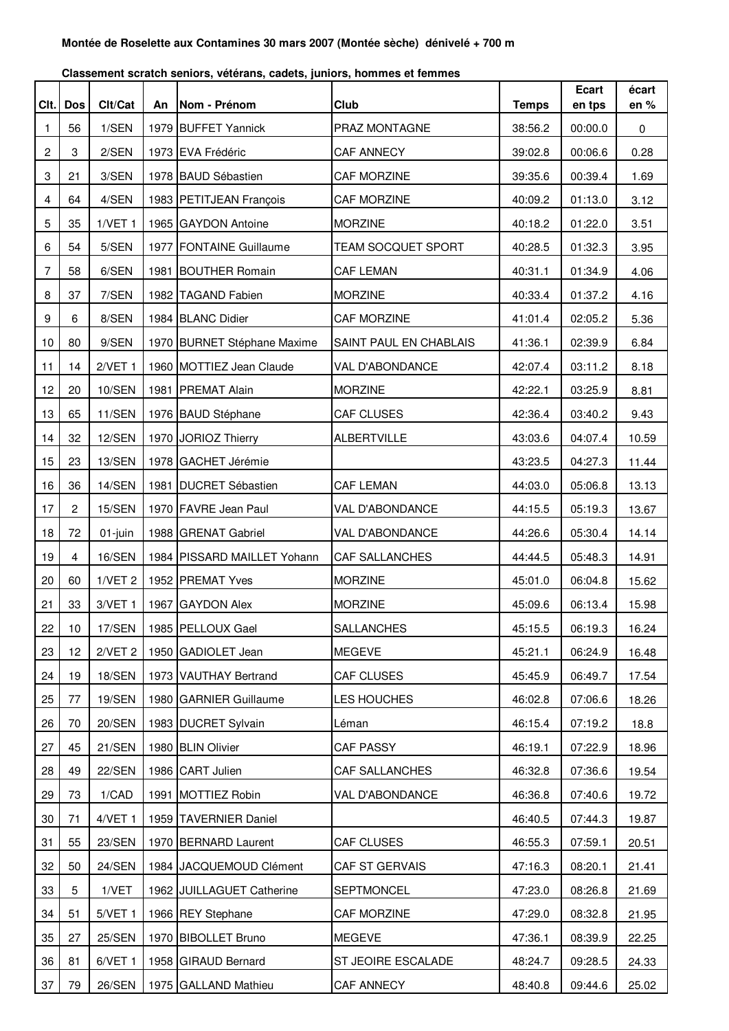| Clt. | Dos            | Clt/Cat            | An | Nom - Prénom                | Club                   | <b>Temps</b> | <b>Ecart</b><br>en tps | écart<br>en % |
|------|----------------|--------------------|----|-----------------------------|------------------------|--------------|------------------------|---------------|
| 1    | 56             | 1/SEN              |    | 1979 BUFFET Yannick         | PRAZ MONTAGNE          | 38:56.2      | 00:00.0                | 0             |
| 2    | 3              | 2/SEN              |    | 1973 EVA Frédéric           | CAF ANNECY             | 39:02.8      | 00:06.6                | 0.28          |
| 3    | 21             | 3/SEN              |    | 1978 BAUD Sébastien         | CAF MORZINE            | 39:35.6      | 00:39.4                | 1.69          |
| 4    | 64             | 4/SEN              |    | 1983 PETITJEAN François     | CAF MORZINE            | 40:09.2      | 01:13.0                | 3.12          |
| 5    | 35             | $1/VET$ 1          |    | 1965 GAYDON Antoine         | <b>MORZINE</b>         | 40:18.2      | 01:22.0                | 3.51          |
| 6    | 54             | 5/SEN              |    | 1977 FONTAINE Guillaume     | TEAM SOCQUET SPORT     | 40:28.5      | 01:32.3                | 3.95          |
| 7    | 58             | 6/SEN              |    | 1981 BOUTHER Romain         | <b>CAF LEMAN</b>       | 40:31.1      | 01:34.9                | 4.06          |
| 8    | 37             | 7/SEN              |    | 1982 TAGAND Fabien          | <b>MORZINE</b>         | 40:33.4      | 01:37.2                | 4.16          |
| 9    | 6              | 8/SEN              |    | 1984 BLANC Didier           | CAF MORZINE            | 41:01.4      | 02:05.2                | 5.36          |
| 10   | 80             | 9/SEN              |    | 1970 BURNET Stéphane Maxime | SAINT PAUL EN CHABLAIS | 41:36.1      | 02:39.9                | 6.84          |
| 11   | 14             | $2/VET$ 1          |    | 1960 MOTTIEZ Jean Claude    | VAL D'ABONDANCE        | 42:07.4      | 03:11.2                | 8.18          |
| 12   | 20             | 10/SEN             |    | 1981 PREMAT Alain           | <b>MORZINE</b>         | 42:22.1      | 03:25.9                | 8.81          |
| 13   | 65             | 11/SEN             |    | 1976 BAUD Stéphane          | CAF CLUSES             | 42:36.4      | 03:40.2                | 9.43          |
| 14   | 32             | 12/SEN             |    | 1970 JORIOZ Thierry         | <b>ALBERTVILLE</b>     | 43:03.6      | 04:07.4                | 10.59         |
| 15   | 23             | 13/SEN             |    | 1978 GACHET Jérémie         |                        | 43:23.5      | 04:27.3                | 11.44         |
| 16   | 36             | 14/SEN             |    | 1981   DUCRET Sébastien     | <b>CAF LEMAN</b>       | 44:03.0      | 05:06.8                | 13.13         |
| 17   | 2              | <b>15/SEN</b>      |    | 1970 FAVRE Jean Paul        | VAL D'ABONDANCE        | 44:15.5      | 05:19.3                | 13.67         |
| 18   | 72             | 01-juin            |    | 1988 GRENAT Gabriel         | VAL D'ABONDANCE        | 44:26.6      | 05:30.4                | 14.14         |
| 19   | $\overline{4}$ | 16/SEN             |    | 1984 PISSARD MAILLET Yohann | CAF SALLANCHES         | 44:44.5      | 05:48.3                | 14.91         |
| 20   | 60             | 1/VET <sub>2</sub> |    | 1952 PREMAT Yves            | <b>MORZINE</b>         | 45:01.0      | 06:04.8                | 15.62         |
| 21   | 33             | $3/VET$ 1          |    | 1967 GAYDON Alex            | <b>MORZINE</b>         | 45:09.6      | 06:13.4                | 15.98         |
| 22   | 10             | 17/SEN             |    | 1985 PELLOUX Gael           | SALLANCHES             | 45:15.5      | 06:19.3                | 16.24         |
| 23   | 12             | 2/VET <sub>2</sub> |    | 1950 GADIOLET Jean          | <b>MEGEVE</b>          | 45:21.1      | 06:24.9                | 16.48         |
| 24   | 19             | <b>18/SEN</b>      |    | 1973 VAUTHAY Bertrand       | CAF CLUSES             | 45:45.9      | 06:49.7                | 17.54         |
| 25   | 77             | <b>19/SEN</b>      |    | 1980 GARNIER Guillaume      | LES HOUCHES            | 46:02.8      | 07:06.6                | 18.26         |
| 26   | 70             | <b>20/SEN</b>      |    | 1983 DUCRET Sylvain         | Léman                  | 46:15.4      | 07:19.2                | 18.8          |
| 27   | 45             | 21/SEN             |    | 1980 BLIN Olivier           | CAF PASSY              | 46:19.1      | 07:22.9                | 18.96         |
| 28   | 49             | 22/SEN             |    | 1986 CART Julien            | CAF SALLANCHES         | 46:32.8      | 07:36.6                | 19.54         |
| 29   | 73             | 1/CAD              |    | 1991 MOTTIEZ Robin          | VAL D'ABONDANCE        | 46:36.8      | 07:40.6                | 19.72         |
| 30   | 71             | $4/VET$ 1          |    | 1959 TAVERNIER Daniel       |                        | 46:40.5      | 07:44.3                | 19.87         |
| 31   | 55             | 23/SEN             |    | 1970 BERNARD Laurent        | CAF CLUSES             | 46:55.3      | 07:59.1                | 20.51         |
| 32   | 50             | 24/SEN             |    | 1984 JACQUEMOUD Clément     | CAF ST GERVAIS         | 47:16.3      | 08:20.1                | 21.41         |
| 33   | 5              | 1/VET              |    | 1962 JUILLAGUET Catherine   | SEPTMONCEL             | 47:23.0      | 08:26.8                | 21.69         |
| 34   | 51             | $5/VET$ 1          |    | 1966 REY Stephane           | CAF MORZINE            | 47:29.0      | 08:32.8                | 21.95         |
| 35   | 27             | <b>25/SEN</b>      |    | 1970 BIBOLLET Bruno         | <b>MEGEVE</b>          | 47:36.1      | 08:39.9                | 22.25         |
| 36   | 81             | 6/VET 1            |    | 1958 GIRAUD Bernard         | ST JEOIRE ESCALADE     | 48:24.7      | 09:28.5                | 24.33         |
| 37   | 79             | <b>26/SEN</b>      |    | 1975 GALLAND Mathieu        | CAF ANNECY             | 48:40.8      | 09:44.6                | 25.02         |

**Classement scratch seniors, vétérans, cadets, juniors, hommes et femmes**